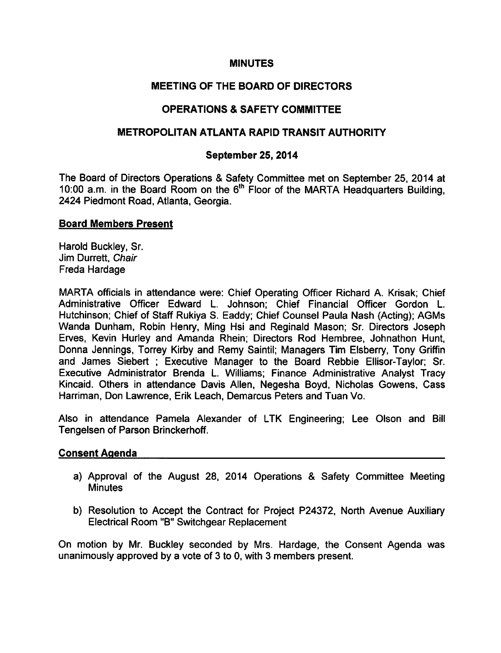# **MINUTES**

# MEETING OF THE BOARD OF DIRECTORS

# **OPERATIONS & SAFETY COMMITTEE**

## METROPOLITAN ATLANTA RAPID TRANSIT AUTHORITY

## September 25, 2014

The Board of Directors Operations & Safety Committee met on September 25, 2014 at 10:00 a.m. in the Board Room on the  $6<sup>th</sup>$  Floor of the MARTA Headquarters Building, 2424 Piedmont Road, Atlanta, Georgia.

### Board Members Present

Harold Buckley, Sr. Jim Durrett, Chair Freda Hardage

MARTA officials in attendance were: Chief Operating Officer Richard A. Krisak; Chief Administrative Officer Edward L. Johnson; Chief Financial Officer Gordon L. Hutchinson; Chief of Staff Rukiya S. Eaddy; Chief Counsel Paula Nash (Acting); AGMs Wanda Dunham, Robin Henry, Ming Hsi and Reginald Mason; Sr. Directors Joseph Erves, Kevin Hurley and Amanda Rhein; Directors Rod Hembree, Johnathon Hunt, Donna Jennings, Torrey Kirby and Remy Saintil; Managers Tim Elsberry, Tony Griffin and James Siebert; Executive Manager to the Board Rebbie Ellisor-Taylor; Sr. Executive Administrator Brenda L. Williams; Finance Administrative Analyst Tracy Kincaid. Others in attendance Davis Allen, Negesha Boyd, Nicholas Gowens, Cass Harriman, Don Lawrence, Erik Leach, Demarcus Peters and Tuan Vo.

Also in attendance Pamela Alexander of LTK Engineering; Lee Olson and Bill Tengelsen of Parson Brinckerhoff.

#### Consent Agenda

- a) Approval of the August 28, 2014 Operations & Safety Committee Meeting **Minutes**
- b) Resolution to Accept the Contract for Project P24372, North Avenue Auxiliary Electrical Room "B" Switchgear Replacement

On motion by Mr. Buckley seconded by Mrs. Hardage, the Consent Agenda was unanimously approved by a vote of  $3$  to  $0$ , with  $3$  members present.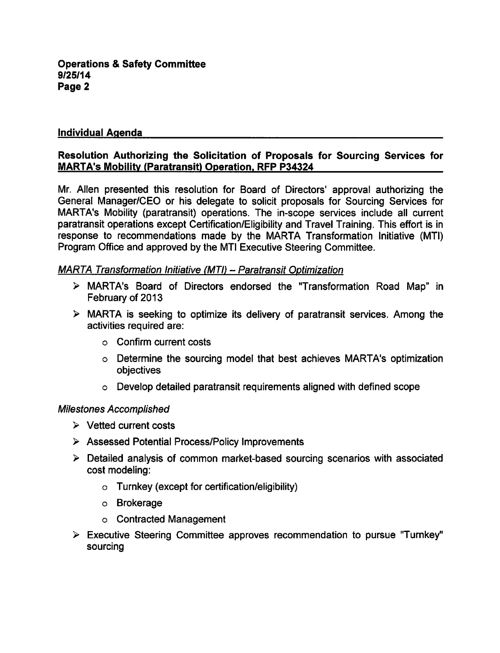# Individual Agenda

# Resolution Authorizing the Solicitation of Proposals for Sourcing Services for MARTA's Mobility (Paratransit) Operation. RFP P34324

Mr. Allen presented this resolution for Board of Directors' approval authorizing the General Manager/CEO or his delegate to solicit proposals for Sourcing Services for MARTA's Mobility (paratransit) operations. The in-scope services include all current paratransit operations except Certification/Eligibility and Travel Training. This effort is in response to recommendations made by the MARTA Transformation Initiative (MTI) Program Office and approved by the MTI Executive Steering Committee.

### MARTA Transformation Initiative (MTI) - Paratransit Optimization

- MARTA's Board of Directors endorsed the "Transformation Road Map" in February of 2013
- $\triangleright$  MARTA is seeking to optimize its delivery of paratransit services. Among the activities required are:
	- Confirm current costs
	- Determine the sourcing model that best achieves MARTA's optimization objectives
	- Develop detailed paratransit requirements aligned with defined scope

# Milestones Accomplished

- $\triangleright$  Vetted current costs
- Assessed Potential Process/Policy Improvements
- Detailed analysis of common market-based sourcing scenarios with associated cost modeling:
	- Turnkey (except for certification/eligibility)
	- Brokerage
	- Contracted Management
- $\triangleright$  Executive Steering Committee approves recommendation to pursue "Turnkey" sourcing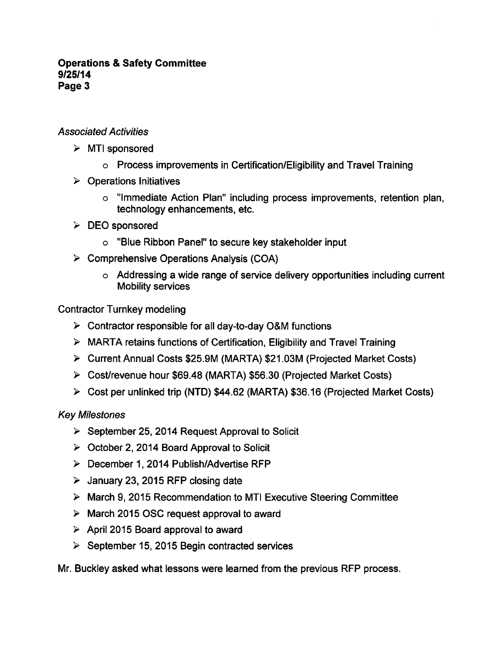### **Operations & Safety Committee** 9/25/14 Page 3

# Associated Activities

- $\triangleright$  MTI sponsored
	- Process improvements in Certification/Eligibility and Travel Training
- $\triangleright$  Operations Initiatives
	- "Immediate Action Plan" including process improvements, retention plan, technology enhancements, etc.
- $\triangleright$  DEO sponsored
	- "Blue Ribbon Panel" to secure key stakeholder input
- $\triangleright$  Comprehensive Operations Analysis (COA)
	- $\circ$  Addressing a wide range of service delivery opportunities including current Mobility services

Contractor Turnkey modeling

- $\triangleright$  Contractor responsible for all day-to-day O&M functions
- MARTA retains functions of Certification, Eligibility and Travel Training
- Current Annual Costs \$25.9M (MARTA) \$21.03M (Projected Market Costs)
- Cost/revenue hour \$69.48 (MARTA) \$56.30 (Projected Market Costs)
- Cost per unlinked trip (NTD) \$44.62 (MARTA) \$36.16 (Projected Market Costs)

Key Milestones

- $\triangleright$  September 25, 2014 Request Approval to Solicit
- $\triangleright$  October 2, 2014 Board Approval to Solicit
- $\triangleright$  December 1, 2014 Publish/Advertise RFP
- $\triangleright$  January 23, 2015 RFP closing date
- March 9, 2015 Recommendation to MTI Executive Steering Committee
- $\triangleright$  March 2015 OSC request approval to award
- $\triangleright$  April 2015 Board approval to award
- $\geq$  September 15, 2015 Begin contracted services

Mr. Buckley asked what lessons were learned from the previous RFP process.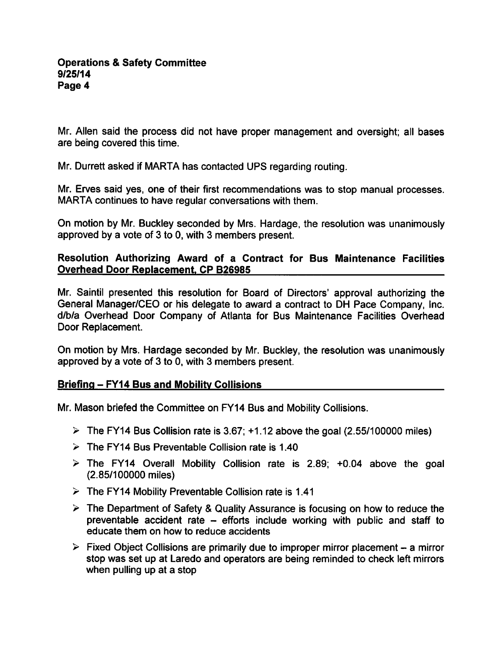Mr. Allen said the process did not have proper management and oversight; all bases are being covered this time.

Mr. Durrett asked if MARTA has contacted UPS regarding routing.

Mr. Erves said yes, one of their first recommendations was to stop manual processes. MARTA continues to have regular conversations with them.

On motion by Mr. Buckley seconded by Mrs. Hardage, the resolution was unanimously approved by a vote of 3 to 0, with 3 members present.

# Resolution Authorizing Award of a Contract for Bus Maintenance Facilities Overhead Door Replacement. CP B26985

Mr. Saintil presented this resolution for Board of Directors' approval authorizing the General Manager/CEO or his delegate to award a contract to DH Pace Company, Inc. d/b/a Overhead Door Company of Atlanta for Bus Maintenance Facilities Overhead Door Replacement.

On motion by Mrs. Hardage seconded by Mr. Buckley, the resolution was unanimously approved by a vote of 3 to 0, with 3 members present.

# Briefing – FY14 Bus and Mobility Collisions

Mr. Mason briefed the Committee on FY14 Bus and Mobility Collisions.

- $\geq$  The FY14 Bus Collision rate is 3.67; +1.12 above the goal (2.55/100000 miles)
- $\geq$  The FY14 Bus Preventable Collision rate is 1.40
- $\geq$  The FY14 Overall Mobility Collision rate is 2.89; +0.04 above the goal (2.85/100000 miles)
- $\triangleright$  The FY14 Mobility Preventable Collision rate is 1.41
- $\triangleright$  The Department of Safety & Quality Assurance is focusing on how to reduce the preventable accident rate  $-$  efforts include working with public and staff to educate them on how to reduce accidents
- $\triangleright$  Fixed Object Collisions are primarily due to improper mirror placement a mirror stop was set up at Laredo and operators are being reminded to check left mirrors when pulling up at a stop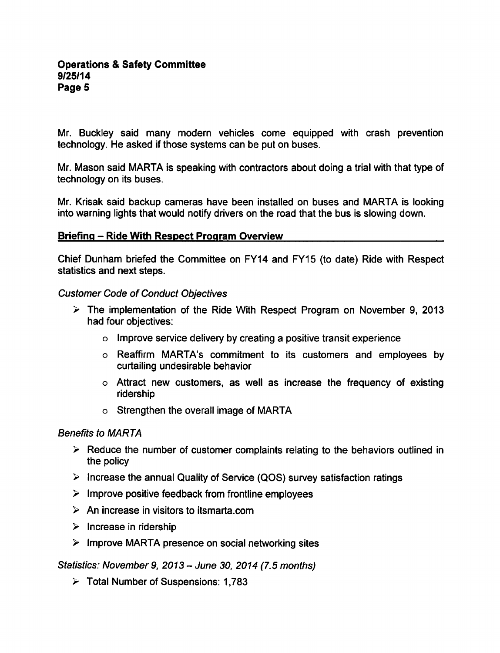Mr. Buckley said many modern vehicles come equipped with crash prevention technology. He asked if those systems can be put on buses.

Mr. Mason said MARTA is speaking with contractors about doing a trial with that type of technology on its buses.

Mr. Krisak said backup cameras have been installed on buses and MARTA is looking into warning lights that would notify drivers on the road that the bus is slowing down.

### Briefing – Ride With Respect Program Overview

Chief Dunham briefed the Committee on FY14 and FY15 (to date) Ride with Respect statistics and next steps.

### Customer Code of Conduct Objectives

- $\geq$  The implementation of the Ride With Respect Program on November 9, 2013 had four objectives:
	- $\circ$  Improve service delivery by creating a positive transit experience
	- Reaffirm MARTA's commitment to its customers and employees by curtailing undesirable behavior
	- Attract new customers, as well as increase the frequency of existing ridership
	- Strengthen the overall image of MARTA

## Benefits to MARTA

- $\triangleright$  Reduce the number of customer complaints relating to the behaviors outlined in the policy
- $\triangleright$  Increase the annual Quality of Service (QOS) survey satisfaction ratings
- $\triangleright$  Improve positive feedback from frontline employees
- $\triangleright$  An increase in visitors to itsmarta.com
- $\triangleright$  Increase in ridership
- $\triangleright$  Improve MARTA presence on social networking sites

Statistics: November 9, 2013 – June 30, 2014 (7.5 months)

 $\triangleright$  Total Number of Suspensions: 1,783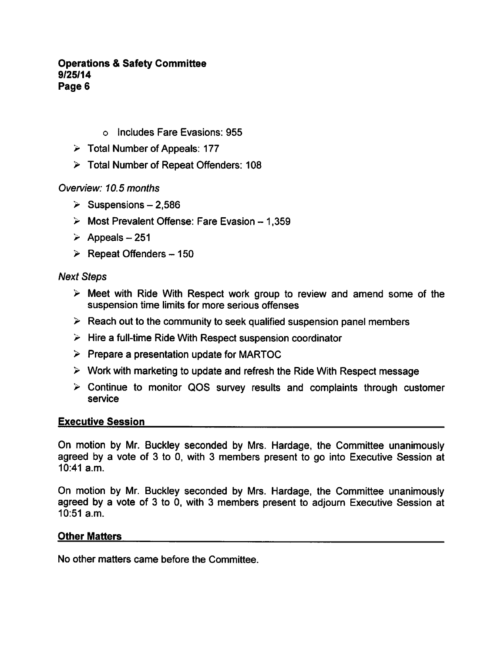### **Operations & Safety Committee** 9/25/14 Page 6

- o Includes Fare Evasions: 955
- $\geq$  Total Number of Appeals: 177
- Total Number of Repeat Offenders: 108

## Overview: 10.5 months

- $\geq$  Suspensions 2,586
- $\geq$  Most Prevalent Offense: Fare Evasion 1,359
- $\geq$  Appeals 251
- $\geq$  Repeat Offenders 150

## Next Steps

- $\triangleright$  Meet with Ride With Respect work group to review and amend some of the suspension time limits for more serious offenses
- $\triangleright$  Reach out to the community to seek qualified suspension panel members
- $\triangleright$  Hire a full-time Ride With Respect suspension coordinator
- $\triangleright$  Prepare a presentation update for MARTOC
- $\triangleright$  Work with marketing to update and refresh the Ride With Respect message
- $\geq$  Continue to monitor QOS survey results and complaints through customer service

## Executive Session

On motion by Mr. Buckley seconded by Mrs. Hardage, the Committee unanimously agreed by a vote of 3 to 0, with 3 members present to go into Executive Session at 10:41 a.m.

On motion by Mr. Buckley seconded by Mrs. Hardage, the Committee unanimously agreed by a vote of 3 to 0, with 3 members present to adjourn Executive Session at 10:51 a.m.

## Other Matters

No other matters came before the Committee.